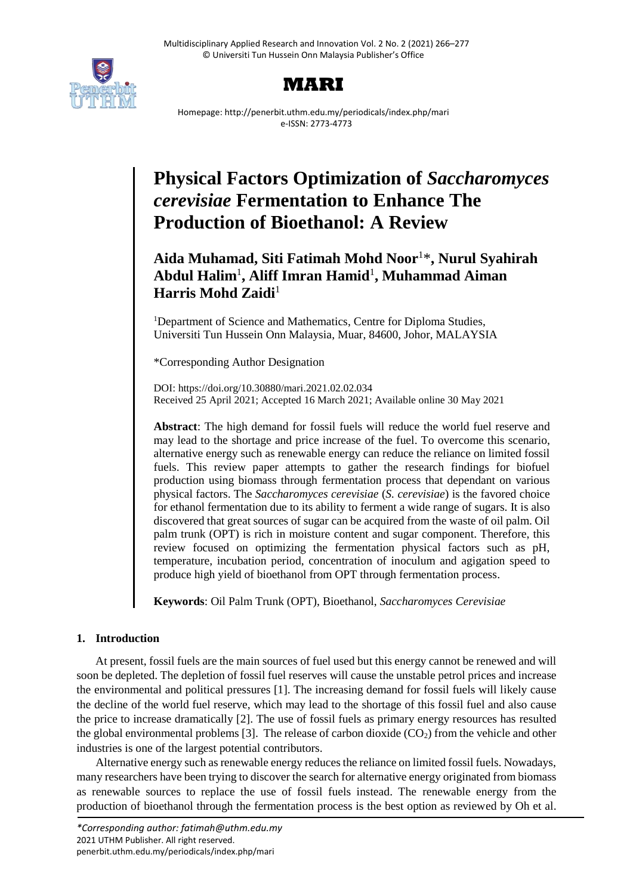

# **MARI**

Homepage: http://penerbit.uthm.edu.my/periodicals/index.php/mari e-ISSN: 2773-4773

# **Physical Factors Optimization of** *Saccharomyces cerevisiae* **Fermentation to Enhance The Production of Bioethanol: A Review**

# **Aida Muhamad, Siti Fatimah Mohd Noor**<sup>1</sup>\* **, Nurul Syahirah Abdul Halim**<sup>1</sup> **, Aliff Imran Hamid**<sup>1</sup> **, Muhammad Aiman Harris Mohd Zaidi**<sup>1</sup>

<sup>1</sup>Department of Science and Mathematics, Centre for Diploma Studies, Universiti Tun Hussein Onn Malaysia, Muar, 84600, Johor, MALAYSIA

\*Corresponding Author Designation

DOI: https://doi.org/10.30880/mari.2021.02.02.034 Received 25 April 2021; Accepted 16 March 2021; Available online 30 May 2021

**Abstract**: The high demand for fossil fuels will reduce the world fuel reserve and may lead to the shortage and price increase of the fuel. To overcome this scenario, alternative energy such as renewable energy can reduce the reliance on limited fossil fuels. This review paper attempts to gather the research findings for biofuel production using biomass through fermentation process that dependant on various physical factors. The *Saccharomyces cerevisiae* (*S. cerevisiae*) is the favored choice for ethanol fermentation due to its ability to ferment a wide range of sugars. It is also discovered that great sources of sugar can be acquired from the waste of oil palm. Oil palm trunk (OPT) is rich in moisture content and sugar component. Therefore, this review focused on optimizing the fermentation physical factors such as pH, temperature, incubation period, concentration of inoculum and agigation speed to produce high yield of bioethanol from OPT through fermentation process.

**Keywords**: Oil Palm Trunk (OPT), Bioethanol, *Saccharomyces Cerevisiae*

# **1. Introduction**

At present, fossil fuels are the main sources of fuel used but this energy cannot be renewed and will soon be depleted. The depletion of fossil fuel reserves will cause the unstable petrol prices and increase the environmental and political pressures [1]. The increasing demand for fossil fuels will likely cause the decline of the world fuel reserve, which may lead to the shortage of this fossil fuel and also cause the price to increase dramatically [2]. The use of fossil fuels as primary energy resources has resulted the global environmental problems [3]. The release of carbon dioxide  $(CO<sub>2</sub>)$  from the vehicle and other industries is one of the largest potential contributors.

Alternative energy such as renewable energy reduces the reliance on limited fossil fuels. Nowadays, many researchers have been trying to discover the search for alternative energy originated from biomass as renewable sources to replace the use of fossil fuels instead. The renewable energy from the production of bioethanol through the fermentation process is the best option as reviewed by Oh et al.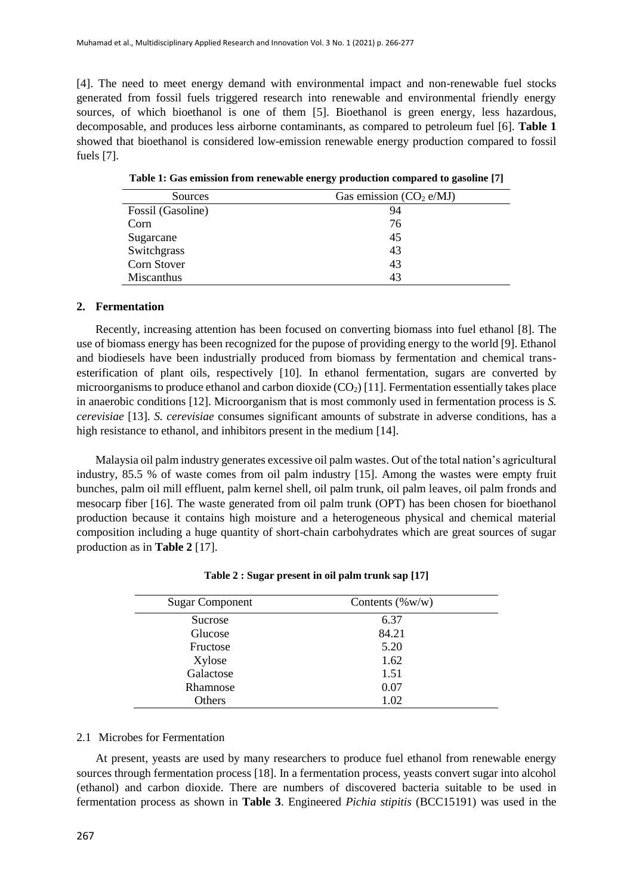[4]. The need to meet energy demand with environmental impact and non-renewable fuel stocks generated from fossil fuels triggered research into renewable and environmental friendly energy sources, of which bioethanol is one of them [5]. Bioethanol is green energy, less hazardous, decomposable, and produces less airborne contaminants, as compared to petroleum fuel [6]. **Table 1** showed that bioethanol is considered low-emission renewable energy production compared to fossil fuels [7].

| Sources           | Gas emission $(CO_2 e/MJ)$ |
|-------------------|----------------------------|
| Fossil (Gasoline) | 94                         |
| Corn              | 76                         |
| Sugarcane         | 45                         |
| Switchgrass       | 43                         |
| Corn Stover       | 43                         |
| <b>Miscanthus</b> | 43                         |

**Table 1: Gas emission from renewable energy production compared to gasoline [7]**

# **2. Fermentation**

Recently, increasing attention has been focused on converting biomass into fuel ethanol [8]. The use of biomass energy has been recognized for the pupose of providing energy to the world [9]. Ethanol and biodiesels have been industrially produced from biomass by fermentation and chemical transesterification of plant oils, respectively [10]. In ethanol fermentation, sugars are converted by microorganisms to produce ethanol and carbon dioxide  $(CO<sub>2</sub>)$  [11]. Fermentation essentially takes place in anaerobic conditions [12]. Microorganism that is most commonly used in fermentation process is *S. cerevisiae* [13]. *S. cerevisiae* consumes significant amounts of substrate in adverse conditions, has a high resistance to ethanol, and inhibitors present in the medium [14].

Malaysia oil palm industry generates excessive oil palm wastes. Out of the total nation's agricultural industry, 85.5 % of waste comes from oil palm industry [15]. Among the wastes were empty fruit bunches, palm oil mill effluent, palm kernel shell, oil palm trunk, oil palm leaves, oil palm fronds and mesocarp fiber [16]. The waste generated from oil palm trunk (OPT) has been chosen for bioethanol production because it contains high moisture and a heterogeneous physical and chemical material composition including a huge quantity of short-chain carbohydrates which are great sources of sugar production as in **Table 2** [17].

| <b>Sugar Component</b> | Contents $(\%w/w)$ |  |
|------------------------|--------------------|--|
| <b>Sucrose</b>         | 6.37               |  |
| Glucose                | 84.21              |  |
| Fructose               | 5.20               |  |
| Xylose                 | 1.62               |  |
| Galactose              | 1.51               |  |
| Rhamnose               | 0.07               |  |
| Others                 | 1.02               |  |

**Table 2 : Sugar present in oil palm trunk sap [17]**

# 2.1 Microbes for Fermentation

At present, yeasts are used by many researchers to produce fuel ethanol from renewable energy sources through fermentation process [18]. In a fermentation process, yeasts convert sugar into alcohol (ethanol) and carbon dioxide. There are numbers of discovered bacteria suitable to be used in fermentation process as shown in **Table 3**. Engineered *Pichia stipitis* (BCC15191) was used in the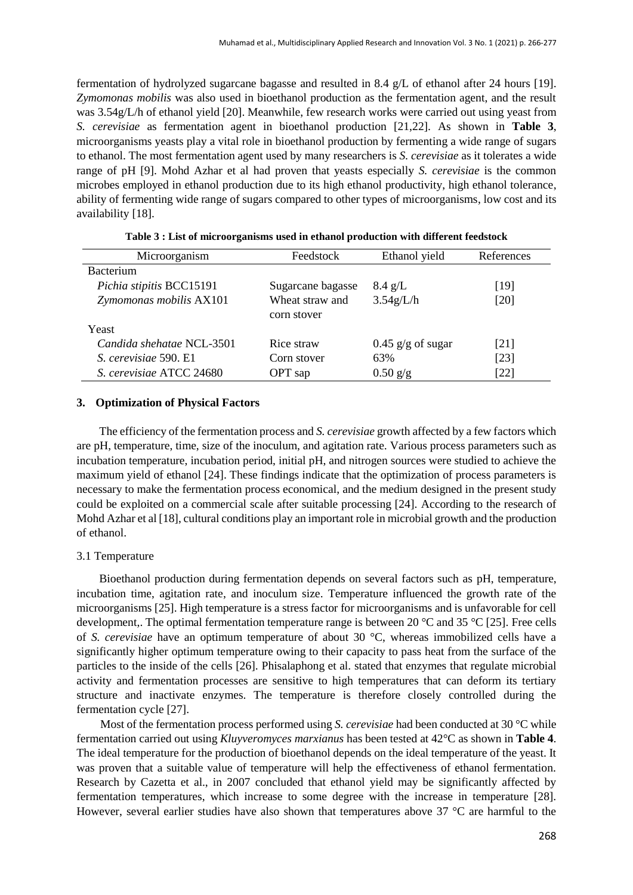fermentation of hydrolyzed sugarcane bagasse and resulted in 8.4 g/L of ethanol after 24 hours [19]. *Zymomonas mobilis* was also used in bioethanol production as the fermentation agent, and the result was 3.54g/L/h of ethanol yield [20]. Meanwhile, few research works were carried out using yeast from *S. cerevisiae* as fermentation agent in bioethanol production [21,22]. As shown in **Table 3**, microorganisms yeasts play a vital role in bioethanol production by fermenting a wide range of sugars to ethanol. The most fermentation agent used by many researchers is *S. cerevisiae* as it tolerates a wide range of pH [9]. Mohd Azhar et al had proven that yeasts especially *S. cerevisiae* is the common microbes employed in ethanol production due to its high ethanol productivity, high ethanol tolerance, ability of fermenting wide range of sugars compared to other types of microorganisms, low cost and its availability [18].

| Microorganism             | Feedstock                      | Ethanol yield       | References |
|---------------------------|--------------------------------|---------------------|------------|
| <b>Bacterium</b>          |                                |                     |            |
| Pichia stipitis BCC15191  | Sugarcane bagasse              | $8.4 \text{ g/L}$   | [19]       |
| Zymomonas mobilis AX101   | Wheat straw and<br>corn stover | 3.54g/L/h           | [20]       |
| Yeast                     |                                |                     |            |
| Candida shehatae NCL-3501 | Rice straw                     | $0.45$ g/g of sugar | [21]       |
| S. cerevisiae 590. E1     | Corn stover                    | 63%                 | [23]       |
| S. cerevisiae ATCC 24680  | OPT sap                        | $0.50$ g/g          | [22]       |

**Table 3 : List of microorganisms used in ethanol production with different feedstock**

## **3. Optimization of Physical Factors**

The efficiency of the fermentation process and *S. cerevisiae* growth affected by a few factors which are pH, temperature, time, size of the inoculum, and agitation rate. Various process parameters such as incubation temperature, incubation period, initial pH, and nitrogen sources were studied to achieve the maximum yield of ethanol [24]. These findings indicate that the optimization of process parameters is necessary to make the fermentation process economical, and the medium designed in the present study could be exploited on a commercial scale after suitable processing [24]. According to the research of Mohd Azhar et al [18], cultural conditions play an important role in microbial growth and the production of ethanol.

#### 3.1 Temperature

Bioethanol production during fermentation depends on several factors such as pH, temperature, incubation time, agitation rate, and inoculum size. Temperature influenced the growth rate of the microorganisms [25]. High temperature is a stress factor for microorganisms and is unfavorable for cell development,. The optimal fermentation temperature range is between 20 °C and 35 °C [25]. Free cells of *S. cerevisiae* have an optimum temperature of about 30 °C, whereas immobilized cells have a significantly higher optimum temperature owing to their capacity to pass heat from the surface of the particles to the inside of the cells [26]. Phisalaphong et al. stated that enzymes that regulate microbial activity and fermentation processes are sensitive to high temperatures that can deform its tertiary structure and inactivate enzymes. The temperature is therefore closely controlled during the fermentation cycle [27].

Most of the fermentation process performed using *S. cerevisiae* had been conducted at 30 °C while fermentation carried out using *Kluyveromyces marxianus* has been tested at 42°C as shown in **Table 4**. The ideal temperature for the production of bioethanol depends on the ideal temperature of the yeast. It was proven that a suitable value of temperature will help the effectiveness of ethanol fermentation. Research by Cazetta et al., in 2007 concluded that ethanol yield may be significantly affected by fermentation temperatures, which increase to some degree with the increase in temperature [28]. However, several earlier studies have also shown that temperatures above 37 °C are harmful to the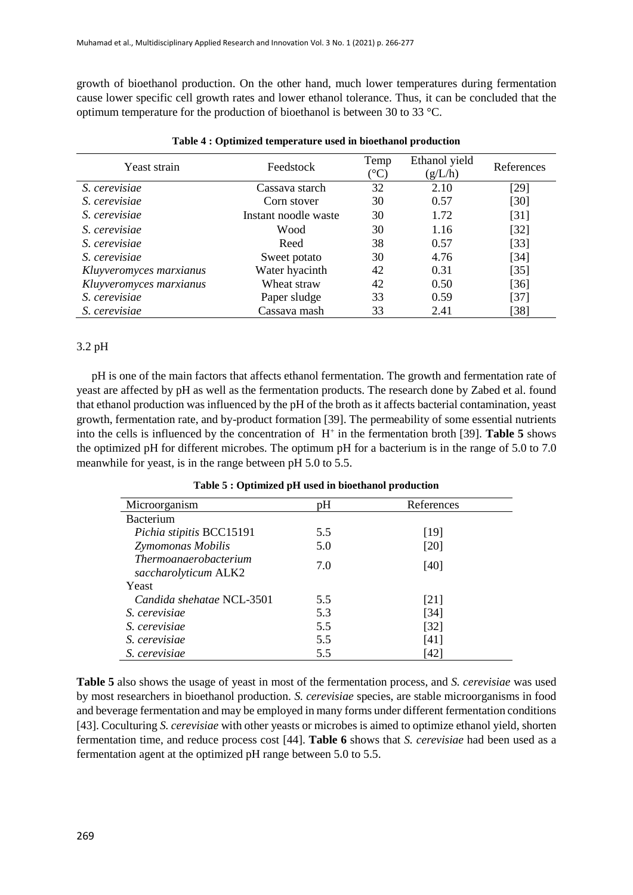growth of bioethanol production. On the other hand, much lower temperatures during fermentation cause lower specific cell growth rates and lower ethanol tolerance. Thus, it can be concluded that the optimum temperature for the production of bioethanol is between 30 to 33 °C.

| Yeast strain            | Feedstock            | Temp<br>$\rm ^{\circ}C)$ | Ethanol yield<br>(g/L/h) | References |
|-------------------------|----------------------|--------------------------|--------------------------|------------|
| S. cerevisiae           | Cassava starch       | 32                       | 2.10                     | [29]       |
| S. cerevisiae           | Corn stover          | 30                       | 0.57                     | [30]       |
| S. cerevisiae           | Instant noodle waste | 30                       | 1.72                     | [31]       |
| S. cerevisiae           | Wood                 | 30                       | 1.16                     | $[32]$     |
| S. cerevisiae           | Reed                 | 38                       | 0.57                     | $[33]$     |
| S. cerevisiae           | Sweet potato         | 30                       | 4.76                     | [34]       |
| Kluyveromyces marxianus | Water hyacinth       | 42                       | 0.31                     | $[35]$     |
| Kluyveromyces marxianus | Wheat straw          | 42                       | 0.50                     | [36]       |
| S. cerevisiae           | Paper sludge         | 33                       | 0.59                     | [37]       |
| S. cerevisiae           | Cassava mash         | 33                       | 2.41                     | [38]       |

|  |  |  | Table 4 : Optimized temperature used in bioethanol production |
|--|--|--|---------------------------------------------------------------|
|  |  |  |                                                               |

# 3.2 pH

pH is one of the main factors that affects ethanol fermentation. The growth and fermentation rate of yeast are affected by pH as well as the fermentation products. The research done by Zabed et al. found that ethanol production was influenced by the pH of the broth as it affects bacterial contamination, yeast growth, fermentation rate, and by-product formation [39]. The permeability of some essential nutrients into the cells is influenced by the concentration of  $H^+$  in the fermentation broth [39]. **Table 5** shows the optimized pH for different microbes. The optimum pH for a bacterium is in the range of 5.0 to 7.0 meanwhile for yeast, is in the range between pH 5.0 to 5.5.

| Microorganism                                 | pH  | References |  |
|-----------------------------------------------|-----|------------|--|
| <b>Bacterium</b>                              |     |            |  |
| Pichia stipitis BCC15191                      | 5.5 | [19]       |  |
| Zymomonas Mobilis                             | 5.0 | [20]       |  |
| Thermoanaerobacterium<br>saccharolyticum ALK2 | 7.0 | [40]       |  |
| Yeast                                         |     |            |  |
| Candida shehatae NCL-3501                     | 5.5 | [21]       |  |
| S. cerevisiae                                 | 5.3 | $[34]$     |  |
| S. cerevisiae                                 | 5.5 | $[32]$     |  |
| S. cerevisiae                                 | 5.5 | [41]       |  |
| <i>S. cerevisiae</i>                          | 5.5 | [42]       |  |

**Table 5 : Optimized pH used in bioethanol production**

**Table 5** also shows the usage of yeast in most of the fermentation process, and *S. cerevisiae* was used by most researchers in bioethanol production. *S. cerevisiae* species, are stable microorganisms in food and beverage fermentation and may be employed in many forms under different fermentation conditions [43]. Coculturing *S. cerevisiae* with other yeasts or microbes is aimed to optimize ethanol yield, shorten fermentation time, and reduce process cost [44]. **Table 6** shows that *S. cerevisiae* had been used as a fermentation agent at the optimized pH range between 5.0 to 5.5.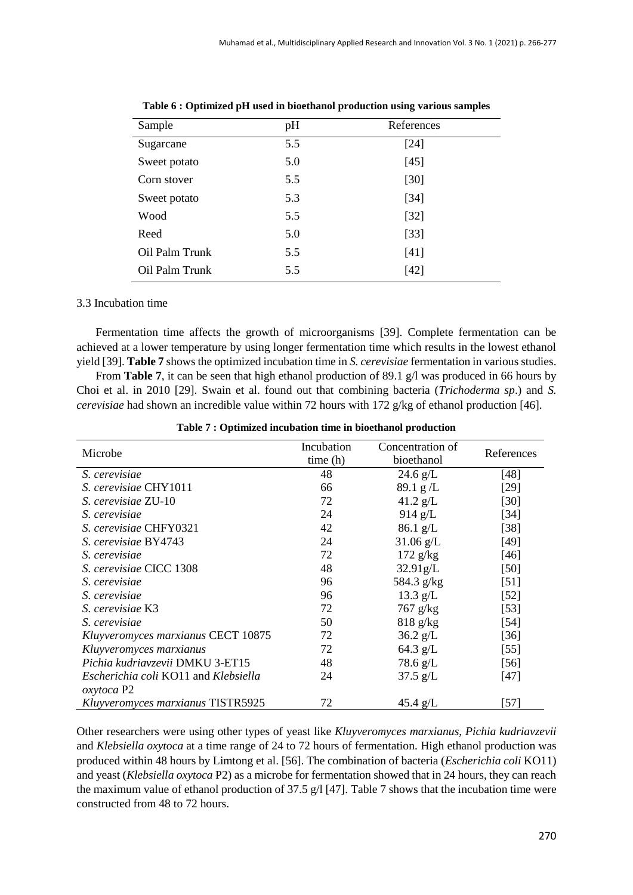| Sample         | pH  | References |  |
|----------------|-----|------------|--|
| Sugarcane      | 5.5 | [24]       |  |
| Sweet potato   | 5.0 | $[45]$     |  |
| Corn stover    | 5.5 | $[30]$     |  |
| Sweet potato   | 5.3 | $[34]$     |  |
| Wood           | 5.5 | $[32]$     |  |
| Reed           | 5.0 | $[33]$     |  |
| Oil Palm Trunk | 5.5 | $[41]$     |  |
| Oil Palm Trunk | 5.5 | $[42]$     |  |
|                |     |            |  |

**Table 6 : Optimized pH used in bioethanol production using various samples**

#### 3.3 Incubation time

Fermentation time affects the growth of microorganisms [39]. Complete fermentation can be achieved at a lower temperature by using longer fermentation time which results in the lowest ethanol yield [39]. **Table 7** shows the optimized incubation time in *S. cerevisiae* fermentation in various studies.

From **Table 7**, it can be seen that high ethanol production of 89.1 g/l was produced in 66 hours by Choi et al. in 2010 [29]. Swain et al. found out that combining bacteria (*Trichoderma sp*.) and *S. cerevisiae* had shown an incredible value within 72 hours with 172 g/kg of ethanol production [46].

| Microbe                              | Incubation | Concentration of   | References |
|--------------------------------------|------------|--------------------|------------|
|                                      | time(h)    | bioethanol         |            |
| S. cerevisiae                        | 48         | $24.6 \text{ g/L}$ | [48]       |
| S. cerevisiae CHY1011                | 66         | 89.1 g/L           | [29]       |
| S. cerevisiae ZU-10                  | 72         | $41.2$ g/L         | $[30]$     |
| S. cerevisiae                        | 24         | $914$ g/L          | $[34]$     |
| S. cerevisiae CHFY0321               | 42         | 86.1 g/L           | $[38]$     |
| S. cerevisiae BY4743                 | 24         | $31.06$ g/L        | $[49]$     |
| S. cerevisiae                        | 72         | $172$ g/kg         | [46]       |
| S. cerevisiae CICC 1308              | 48         | 32.91g/L           | $[50]$     |
| S. cerevisiae                        | 96         | 584.3 g/kg         | $[51]$     |
| S. cerevisiae                        | 96         | 13.3 $g/L$         | $[52]$     |
| S. cerevisiae K3                     | 72         | $767$ g/kg         | [53]       |
| S. cerevisiae                        | 50         | $818 \text{ g/kg}$ | $[54]$     |
| Kluyveromyces marxianus CECT 10875   | 72         | $36.2 \text{ g/L}$ | [36]       |
| Kluyveromyces marxianus              | 72         | 64.3 $g/L$         | $[55]$     |
| Pichia kudriavzevii DMKU 3-ET15      | 48         | $78.6$ g/L         | [56]       |
| Escherichia coli KO11 and Klebsiella | 24         | $37.5 \text{ g/L}$ | [47]       |
| <i>oxytoca</i> P2                    |            |                    |            |
| Kluyveromyces marxianus TISTR5925    | 72         | 45.4 $g/L$         | [57]       |

**Table 7 : Optimized incubation time in bioethanol production**

Other researchers were using other types of yeast like *Kluyveromyces marxianus*, *Pichia kudriavzevii* and *Klebsiella oxytoca* at a time range of 24 to 72 hours of fermentation. High ethanol production was produced within 48 hours by Limtong et al. [56]. The combination of bacteria (*Escherichia coli* KO11) and yeast (*Klebsiella oxytoca* P2) as a microbe for fermentation showed that in 24 hours, they can reach the maximum value of ethanol production of 37.5 g/l [47]. Table 7 shows that the incubation time were constructed from 48 to 72 hours.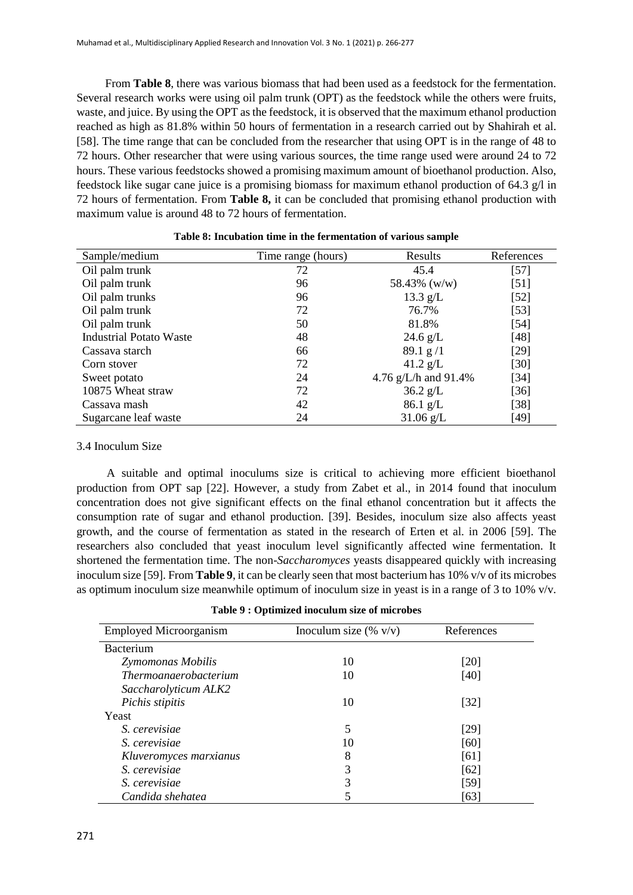From **Table 8**, there was various biomass that had been used as a feedstock for the fermentation. Several research works were using oil palm trunk (OPT) as the feedstock while the others were fruits, waste, and juice. By using the OPT as the feedstock, it is observed that the maximum ethanol production reached as high as 81.8% within 50 hours of fermentation in a research carried out by Shahirah et al. [58]. The time range that can be concluded from the researcher that using OPT is in the range of 48 to 72 hours. Other researcher that were using various sources, the time range used were around 24 to 72 hours. These various feedstocks showed a promising maximum amount of bioethanol production. Also, feedstock like sugar cane juice is a promising biomass for maximum ethanol production of 64.3 g/l in 72 hours of fermentation. From **Table 8,** it can be concluded that promising ethanol production with maximum value is around 48 to 72 hours of fermentation.

| Sample/medium                  | Time range (hours) | Results                 | References |
|--------------------------------|--------------------|-------------------------|------------|
| Oil palm trunk                 | 72                 | 45.4                    | [57]       |
| Oil palm trunk                 | 96                 | 58.43% (w/w)            | $[51]$     |
| Oil palm trunks                | 96                 | $13.3$ g/L              | $[52]$     |
| Oil palm trunk                 | 72                 | 76.7%                   | $[53]$     |
| Oil palm trunk                 | 50                 | 81.8%                   | [54]       |
| <b>Industrial Potato Waste</b> | 48                 | $24.6 \text{ g/L}$      | $[48]$     |
| Cassava starch                 | 66                 | 89.1 g/1                | $[29]$     |
| Corn stover                    | 72                 | 41.2 $g/L$              | $[30]$     |
| Sweet potato                   | 24                 | 4.76 g/L/h and $91.4\%$ | [34]       |
| 10875 Wheat straw              | 72                 | $36.2 \text{ g/L}$      | $[36]$     |
| Cassava mash                   | 42                 | $86.1$ g/L              | [38]       |
| Sugarcane leaf waste           | 24                 | $31.06$ g/L             | [49]       |

| Table 8: Incubation time in the fermentation of various sample |  |  |  |  |  |
|----------------------------------------------------------------|--|--|--|--|--|
|----------------------------------------------------------------|--|--|--|--|--|

### 3.4 Inoculum Size

A suitable and optimal inoculums size is critical to achieving more efficient bioethanol production from OPT sap [22]. However, a study from Zabet et al., in 2014 found that inoculum concentration does not give significant effects on the final ethanol concentration but it affects the consumption rate of sugar and ethanol production. [39]. Besides, inoculum size also affects yeast growth, and the course of fermentation as stated in the research of Erten et al. in 2006 [59]. The researchers also concluded that yeast inoculum level significantly affected wine fermentation. It shortened the fermentation time. The non-*Saccharomyces* yeasts disappeared quickly with increasing inoculum size [59]. From **Table 9**, it can be clearly seen that most bacterium has 10% v/v of its microbes as optimum inoculum size meanwhile optimum of inoculum size in yeast is in a range of 3 to 10% v/v.

| <b>Employed Microorganism</b> | Inoculum size $(\% \text{ v/v})$ | References |
|-------------------------------|----------------------------------|------------|
| <b>Bacterium</b>              |                                  |            |
| Zymomonas Mobilis             | 10                               | $[20]$     |
| <i>Thermoanaerobacterium</i>  | 10                               | [40]       |
| Saccharolyticum ALK2          |                                  |            |
| Pichis stipitis               | 10                               | $[32]$     |
| Yeast                         |                                  |            |
| S. cerevisiae                 | 5                                | [29]       |
| S. cerevisiae                 | 10                               | [60]       |
| Kluveromyces marxianus        | 8                                | [61]       |
| S. cerevisiae                 | 3                                | [62]       |
| S. cerevisiae                 | 3                                | [59]       |
| Candida shehatea              |                                  | [63]       |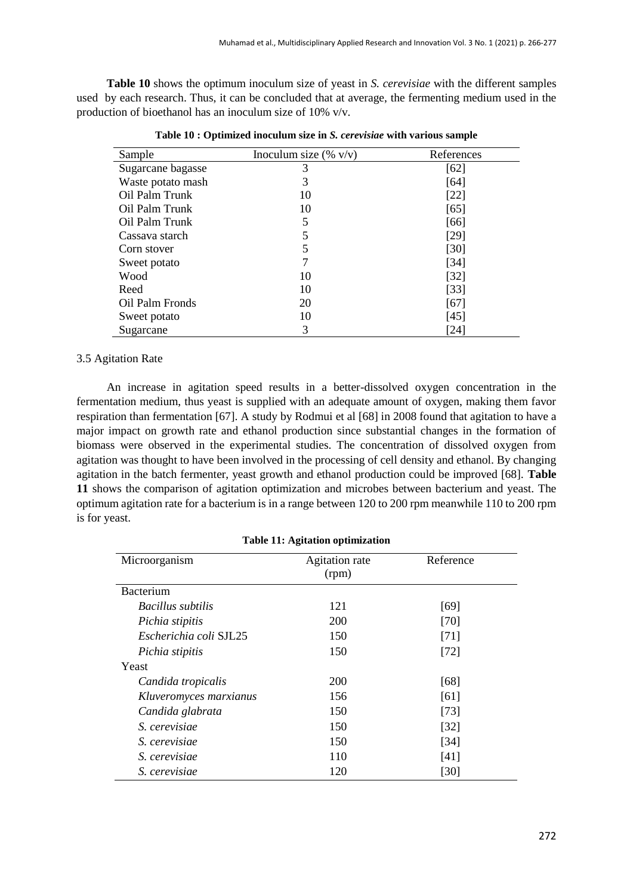**Table 10** shows the optimum inoculum size of yeast in *S. cerevisiae* with the different samples used by each research. Thus, it can be concluded that at average, the fermenting medium used in the production of bioethanol has an inoculum size of 10% v/v.

| Sample            | Inoculum size $(\% \text{ v/v})$ | References |
|-------------------|----------------------------------|------------|
| Sugarcane bagasse | 3                                | [62]       |
| Waste potato mash | 3                                | [64]       |
| Oil Palm Trunk    | 10                               | [22]       |
| Oil Palm Trunk    | 10                               | [65]       |
| Oil Palm Trunk    | 5                                | [66]       |
| Cassava starch    | 5                                | [29]       |
| Corn stover       | 5                                | [30]       |
| Sweet potato      |                                  | [34]       |
| Wood              | 10                               | $[32]$     |
| Reed              | 10                               | $[33]$     |
| Oil Palm Fronds   | 20                               | [67]       |
| Sweet potato      | 10                               | [45]       |
| Sugarcane         | 3                                | [24]       |

**Table 10 : Optimized inoculum size in** *S. cerevisiae* **with various sample**

# 3.5 Agitation Rate

An increase in agitation speed results in a better-dissolved oxygen concentration in the fermentation medium, thus yeast is supplied with an adequate amount of oxygen, making them favor respiration than fermentation [67]. A study by Rodmui et al [68] in 2008 found that agitation to have a major impact on growth rate and ethanol production since substantial changes in the formation of biomass were observed in the experimental studies. The concentration of dissolved oxygen from agitation was thought to have been involved in the processing of cell density and ethanol. By changing agitation in the batch fermenter, yeast growth and ethanol production could be improved [68]. **Table 11** shows the comparison of agitation optimization and microbes between bacterium and yeast. The optimum agitation rate for a bacterium is in a range between 120 to 200 rpm meanwhile 110 to 200 rpm is for yeast.

| <b>Table 11: Agitation optimization</b> |                         |           |  |
|-----------------------------------------|-------------------------|-----------|--|
| Microorganism                           | Agitation rate<br>(rpm) | Reference |  |
| <b>Bacterium</b>                        |                         |           |  |
| <i>Bacillus subtilis</i>                | 121                     | [69]      |  |
| Pichia stipitis                         | <b>200</b>              | [70]      |  |
| Escherichia coli SJL25                  | 150                     | $[71]$    |  |
| Pichia stipitis                         | 150                     | $[72]$    |  |
| Yeast                                   |                         |           |  |
| Candida tropicalis                      | 200                     | [68]      |  |
| Kluveromyces marxianus                  | 156                     | [61]      |  |
| Candida glabrata                        | 150                     | $[73]$    |  |
| S. cerevisiae                           | 150                     | [32]      |  |
| S. cerevisiae                           | 150                     | [34]      |  |
| S. cerevisiae                           | 110                     | [41]      |  |
| S. cerevisiae                           | 120                     | [30]      |  |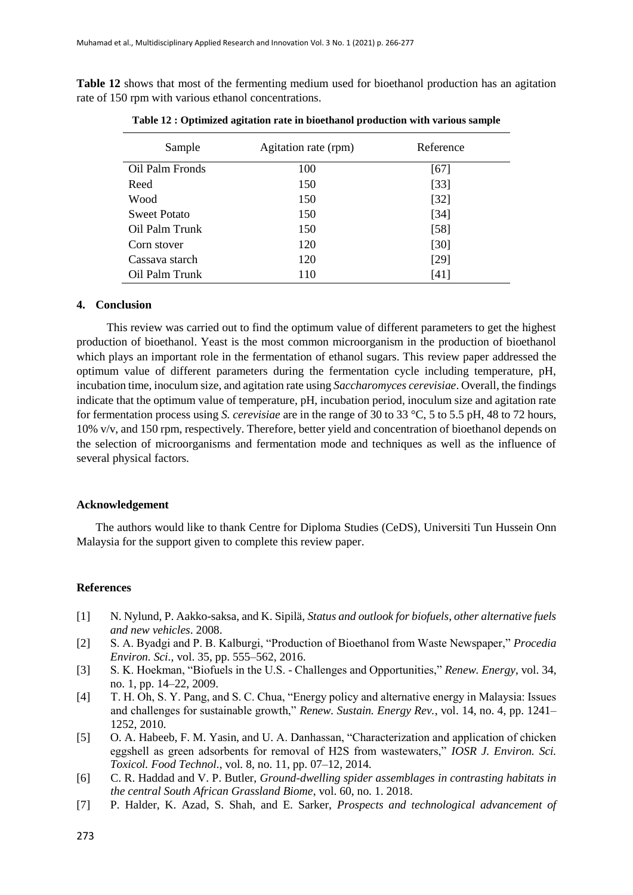**Table 12** shows that most of the fermenting medium used for bioethanol production has an agitation rate of 150 rpm with various ethanol concentrations.

| Sample              | Agitation rate (rpm) | Reference |
|---------------------|----------------------|-----------|
| Oil Palm Fronds     | 100                  | [67]      |
| Reed                | 150                  | $[33]$    |
| Wood                | 150                  | $[32]$    |
| <b>Sweet Potato</b> | 150                  | $[34]$    |
| Oil Palm Trunk      | 150                  | $[58]$    |
| Corn stover         | 120                  | $[30]$    |
| Cassava starch      | 120                  | [29]      |
| Oil Palm Trunk      | 110                  | [41]      |

**Table 12 : Optimized agitation rate in bioethanol production with various sample**

## **4. Conclusion**

This review was carried out to find the optimum value of different parameters to get the highest production of bioethanol. Yeast is the most common microorganism in the production of bioethanol which plays an important role in the fermentation of ethanol sugars. This review paper addressed the optimum value of different parameters during the fermentation cycle including temperature, pH, incubation time, inoculum size, and agitation rate using *Saccharomyces cerevisiae*. Overall, the findings indicate that the optimum value of temperature, pH, incubation period, inoculum size and agitation rate for fermentation process using *S. cerevisiae* are in the range of 30 to 33 °C, 5 to 5.5 pH, 48 to 72 hours, 10% v/v, and 150 rpm, respectively. Therefore, better yield and concentration of bioethanol depends on the selection of microorganisms and fermentation mode and techniques as well as the influence of several physical factors.

#### **Acknowledgement**

The authors would like to thank Centre for Diploma Studies (CeDS), Universiti Tun Hussein Onn Malaysia for the support given to complete this review paper.

### **References**

- [1] N. Nylund, P. Aakko-saksa, and K. Sipilä, *Status and outlook for biofuels, other alternative fuels and new vehicles*. 2008.
- [2] S. A. Byadgi and P. B. Kalburgi, "Production of Bioethanol from Waste Newspaper," *Procedia Environ. Sci.*, vol. 35, pp. 555–562, 2016.
- [3] S. K. Hoekman, "Biofuels in the U.S. Challenges and Opportunities," *Renew. Energy*, vol. 34, no. 1, pp. 14–22, 2009.
- [4] T. H. Oh, S. Y. Pang, and S. C. Chua, "Energy policy and alternative energy in Malaysia: Issues and challenges for sustainable growth," *Renew. Sustain. Energy Rev.*, vol. 14, no. 4, pp. 1241– 1252, 2010.
- [5] O. A. Habeeb, F. M. Yasin, and U. A. Danhassan, "Characterization and application of chicken eggshell as green adsorbents for removal of H2S from wastewaters," *IOSR J. Environ. Sci. Toxicol. Food Technol.*, vol. 8, no. 11, pp. 07–12, 2014.
- [6] C. R. Haddad and V. P. Butler, *Ground-dwelling spider assemblages in contrasting habitats in the central South African Grassland Biome*, vol. 60, no. 1. 2018.
- [7] P. Halder, K. Azad, S. Shah, and E. Sarker, *Prospects and technological advancement of*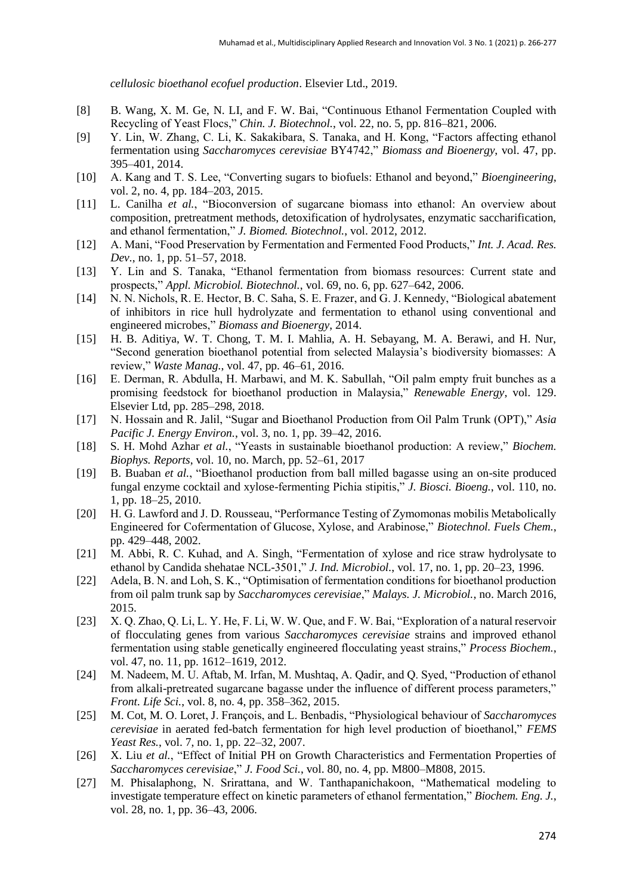*cellulosic bioethanol ecofuel production*. Elsevier Ltd., 2019.

- [8] B. Wang, X. M. Ge, N. LI, and F. W. Bai, "Continuous Ethanol Fermentation Coupled with Recycling of Yeast Flocs," *Chin. J. Biotechnol.*, vol. 22, no. 5, pp. 816–821, 2006.
- [9] Y. Lin, W. Zhang, C. Li, K. Sakakibara, S. Tanaka, and H. Kong, "Factors affecting ethanol fermentation using *Saccharomyces cerevisiae* BY4742," *Biomass and Bioenergy*, vol. 47, pp. 395–401, 2014.
- [10] A. Kang and T. S. Lee, "Converting sugars to biofuels: Ethanol and beyond," *Bioengineering*, vol. 2, no. 4, pp. 184–203, 2015.
- [11] L. Canilha *et al.*, "Bioconversion of sugarcane biomass into ethanol: An overview about composition, pretreatment methods, detoxification of hydrolysates, enzymatic saccharification, and ethanol fermentation," *J. Biomed. Biotechnol.*, vol. 2012, 2012.
- [12] A. Mani, "Food Preservation by Fermentation and Fermented Food Products," *Int. J. Acad. Res. Dev.*, no. 1, pp. 51–57, 2018.
- [13] Y. Lin and S. Tanaka, "Ethanol fermentation from biomass resources: Current state and prospects," *Appl. Microbiol. Biotechnol.*, vol. 69, no. 6, pp. 627–642, 2006.
- [14] N. N. Nichols, R. E. Hector, B. C. Saha, S. E. Frazer, and G. J. Kennedy, "Biological abatement of inhibitors in rice hull hydrolyzate and fermentation to ethanol using conventional and engineered microbes," *Biomass and Bioenergy*, 2014.
- [15] H. B. Aditiya, W. T. Chong, T. M. I. Mahlia, A. H. Sebayang, M. A. Berawi, and H. Nur, "Second generation bioethanol potential from selected Malaysia's biodiversity biomasses: A review," *Waste Manag.*, vol. 47, pp. 46–61, 2016.
- [16] E. Derman, R. Abdulla, H. Marbawi, and M. K. Sabullah, "Oil palm empty fruit bunches as a promising feedstock for bioethanol production in Malaysia," *Renewable Energy*, vol. 129. Elsevier Ltd, pp. 285–298, 2018.
- [17] N. Hossain and R. Jalil, "Sugar and Bioethanol Production from Oil Palm Trunk (OPT)," *Asia Pacific J. Energy Environ.*, vol. 3, no. 1, pp. 39–42, 2016.
- [18] S. H. Mohd Azhar *et al.*, "Yeasts in sustainable bioethanol production: A review," *Biochem. Biophys. Reports*, vol. 10, no. March, pp. 52–61, 2017
- [19] B. Buaban *et al.*, "Bioethanol production from ball milled bagasse using an on-site produced fungal enzyme cocktail and xylose-fermenting Pichia stipitis," *J. Biosci. Bioeng.*, vol. 110, no. 1, pp. 18–25, 2010.
- [20] H. G. Lawford and J. D. Rousseau, "Performance Testing of Zymomonas mobilis Metabolically Engineered for Cofermentation of Glucose, Xylose, and Arabinose," *Biotechnol. Fuels Chem.*, pp. 429–448, 2002.
- [21] M. Abbi, R. C. Kuhad, and A. Singh, "Fermentation of xylose and rice straw hydrolysate to ethanol by Candida shehatae NCL-3501," *J. Ind. Microbiol.*, vol. 17, no. 1, pp. 20–23, 1996.
- [22] Adela, B. N. and Loh, S. K., "Optimisation of fermentation conditions for bioethanol production from oil palm trunk sap by *Saccharomyces cerevisiae*," *Malays. J. Microbiol.*, no. March 2016, 2015.
- [23] X. Q. Zhao, Q. Li, L. Y. He, F. Li, W. W. Que, and F. W. Bai, "Exploration of a natural reservoir of flocculating genes from various *Saccharomyces cerevisiae* strains and improved ethanol fermentation using stable genetically engineered flocculating yeast strains," *Process Biochem.*, vol. 47, no. 11, pp. 1612–1619, 2012.
- [24] M. Nadeem, M. U. Aftab, M. Irfan, M. Mushtaq, A. Qadir, and Q. Syed, "Production of ethanol from alkali-pretreated sugarcane bagasse under the influence of different process parameters," *Front. Life Sci.*, vol. 8, no. 4, pp. 358–362, 2015.
- [25] M. Cot, M. O. Loret, J. François, and L. Benbadis, "Physiological behaviour of *Saccharomyces cerevisiae* in aerated fed-batch fermentation for high level production of bioethanol," *FEMS Yeast Res.*, vol. 7, no. 1, pp. 22–32, 2007.
- [26] X. Liu *et al.*, "Effect of Initial PH on Growth Characteristics and Fermentation Properties of *Saccharomyces cerevisiae*," *J. Food Sci.*, vol. 80, no. 4, pp. M800–M808, 2015.
- [27] M. Phisalaphong, N. Srirattana, and W. Tanthapanichakoon, "Mathematical modeling to investigate temperature effect on kinetic parameters of ethanol fermentation," *Biochem. Eng. J.*, vol. 28, no. 1, pp. 36–43, 2006.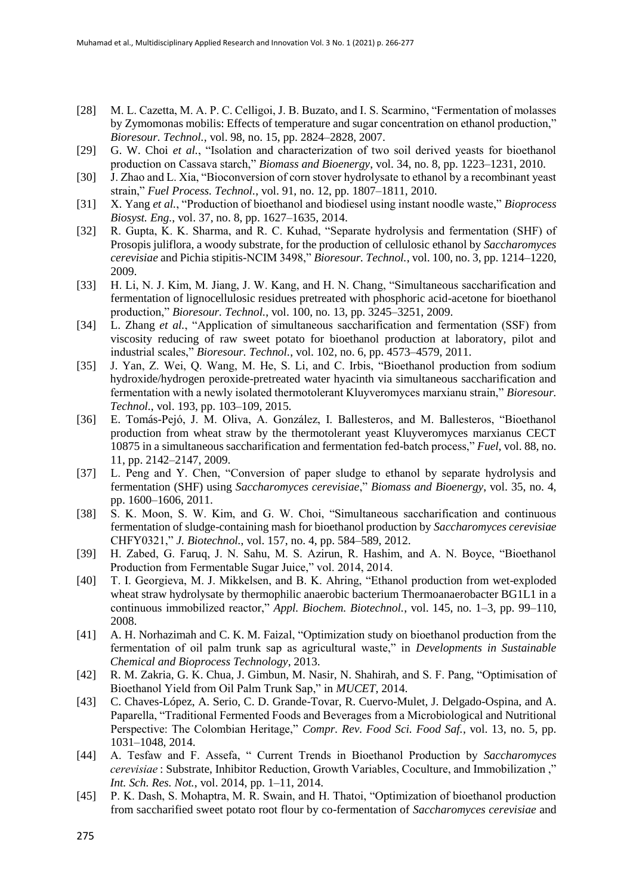- [28] M. L. Cazetta, M. A. P. C. Celligoi, J. B. Buzato, and I. S. Scarmino, "Fermentation of molasses by Zymomonas mobilis: Effects of temperature and sugar concentration on ethanol production," *Bioresour. Technol.*, vol. 98, no. 15, pp. 2824–2828, 2007.
- [29] G. W. Choi *et al.*, "Isolation and characterization of two soil derived yeasts for bioethanol production on Cassava starch," *Biomass and Bioenergy*, vol. 34, no. 8, pp. 1223–1231, 2010.
- [30] J. Zhao and L. Xia, "Bioconversion of corn stover hydrolysate to ethanol by a recombinant yeast strain," *Fuel Process. Technol.*, vol. 91, no. 12, pp. 1807–1811, 2010.
- [31] X. Yang *et al.*, "Production of bioethanol and biodiesel using instant noodle waste," *Bioprocess Biosyst. Eng.*, vol. 37, no. 8, pp. 1627–1635, 2014.
- [32] R. Gupta, K. K. Sharma, and R. C. Kuhad, "Separate hydrolysis and fermentation (SHF) of Prosopis juliflora, a woody substrate, for the production of cellulosic ethanol by *Saccharomyces cerevisiae* and Pichia stipitis-NCIM 3498," *Bioresour. Technol.*, vol. 100, no. 3, pp. 1214–1220, 2009.
- [33] H. Li, N. J. Kim, M. Jiang, J. W. Kang, and H. N. Chang, "Simultaneous saccharification and fermentation of lignocellulosic residues pretreated with phosphoric acid-acetone for bioethanol production," *Bioresour. Technol.*, vol. 100, no. 13, pp. 3245–3251, 2009.
- [34] L. Zhang *et al.*, "Application of simultaneous saccharification and fermentation (SSF) from viscosity reducing of raw sweet potato for bioethanol production at laboratory, pilot and industrial scales," *Bioresour. Technol.*, vol. 102, no. 6, pp. 4573–4579, 2011.
- [35] J. Yan, Z. Wei, Q. Wang, M. He, S. Li, and C. Irbis, "Bioethanol production from sodium hydroxide/hydrogen peroxide-pretreated water hyacinth via simultaneous saccharification and fermentation with a newly isolated thermotolerant Kluyveromyces marxianu strain," *Bioresour. Technol.*, vol. 193, pp. 103–109, 2015.
- [36] E. Tomás-Pejó, J. M. Oliva, A. González, I. Ballesteros, and M. Ballesteros, "Bioethanol production from wheat straw by the thermotolerant yeast Kluyveromyces marxianus CECT 10875 in a simultaneous saccharification and fermentation fed-batch process," *Fuel*, vol. 88, no. 11, pp. 2142–2147, 2009.
- [37] L. Peng and Y. Chen, "Conversion of paper sludge to ethanol by separate hydrolysis and fermentation (SHF) using *Saccharomyces cerevisiae*," *Biomass and Bioenergy*, vol. 35, no. 4, pp. 1600–1606, 2011.
- [38] S. K. Moon, S. W. Kim, and G. W. Choi, "Simultaneous saccharification and continuous fermentation of sludge-containing mash for bioethanol production by *Saccharomyces cerevisiae*  CHFY0321," *J. Biotechnol.*, vol. 157, no. 4, pp. 584–589, 2012.
- [39] H. Zabed, G. Faruq, J. N. Sahu, M. S. Azirun, R. Hashim, and A. N. Boyce, "Bioethanol Production from Fermentable Sugar Juice," vol. 2014, 2014.
- [40] T. I. Georgieva, M. J. Mikkelsen, and B. K. Ahring, "Ethanol production from wet-exploded wheat straw hydrolysate by thermophilic anaerobic bacterium Thermoanaerobacter BG1L1 in a continuous immobilized reactor," *Appl. Biochem. Biotechnol.*, vol. 145, no. 1–3, pp. 99–110, 2008.
- [41] A. H. Norhazimah and C. K. M. Faizal, "Optimization study on bioethanol production from the fermentation of oil palm trunk sap as agricultural waste," in *Developments in Sustainable Chemical and Bioprocess Technology*, 2013.
- [42] R. M. Zakria, G. K. Chua, J. Gimbun, M. Nasir, N. Shahirah, and S. F. Pang, "Optimisation of Bioethanol Yield from Oil Palm Trunk Sap," in *MUCET*, 2014.
- [43] C. Chaves-López, A. Serio, C. D. Grande-Tovar, R. Cuervo-Mulet, J. Delgado-Ospina, and A. Paparella, "Traditional Fermented Foods and Beverages from a Microbiological and Nutritional Perspective: The Colombian Heritage," *Compr. Rev. Food Sci. Food Saf.*, vol. 13, no. 5, pp. 1031–1048, 2014.
- [44] A. Tesfaw and F. Assefa, " Current Trends in Bioethanol Production by *Saccharomyces cerevisiae*: Substrate, Inhibitor Reduction, Growth Variables, Coculture, and Immobilization ," *Int. Sch. Res. Not.*, vol. 2014, pp. 1–11, 2014.
- [45] P. K. Dash, S. Mohaptra, M. R. Swain, and H. Thatoi, "Optimization of bioethanol production from saccharified sweet potato root flour by co-fermentation of *Saccharomyces cerevisiae* and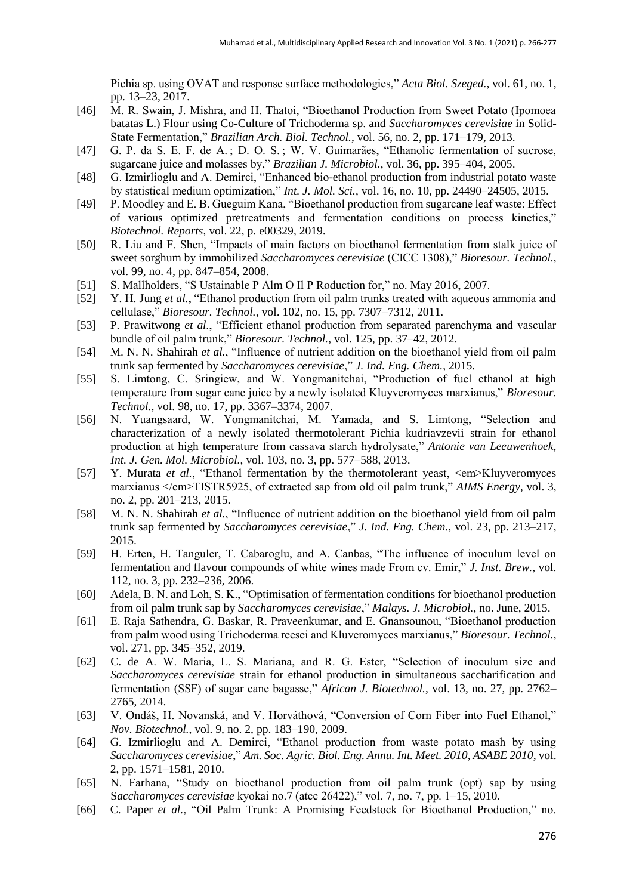Pichia sp. using OVAT and response surface methodologies," *Acta Biol. Szeged.*, vol. 61, no. 1, pp. 13–23, 2017.

- [46] M. R. Swain, J. Mishra, and H. Thatoi, "Bioethanol Production from Sweet Potato (Ipomoea batatas L.) Flour using Co-Culture of Trichoderma sp. and *Saccharomyces cerevisiae* in Solid-State Fermentation," *Brazilian Arch. Biol. Technol.*, vol. 56, no. 2, pp. 171–179, 2013.
- [47] G. P. da S. E. F. de A. ; D. O. S. ; W. V. Guimarães, "Ethanolic fermentation of sucrose, sugarcane juice and molasses by," *Brazilian J. Microbiol.*, vol. 36, pp. 395–404, 2005.
- [48] G. Izmirlioglu and A. Demirci, "Enhanced bio-ethanol production from industrial potato waste by statistical medium optimization," *Int. J. Mol. Sci.*, vol. 16, no. 10, pp. 24490–24505, 2015.
- [49] P. Moodley and E. B. Gueguim Kana, "Bioethanol production from sugarcane leaf waste: Effect of various optimized pretreatments and fermentation conditions on process kinetics," *Biotechnol. Reports*, vol. 22, p. e00329, 2019.
- [50] R. Liu and F. Shen, "Impacts of main factors on bioethanol fermentation from stalk juice of sweet sorghum by immobilized *Saccharomyces cerevisiae* (CICC 1308)," *Bioresour. Technol.*, vol. 99, no. 4, pp. 847–854, 2008.
- [51] S. Mallholders, "S Ustainable P Alm O Il P Roduction for," no. May 2016, 2007.
- [52] Y. H. Jung *et al.*, "Ethanol production from oil palm trunks treated with aqueous ammonia and cellulase," *Bioresour. Technol.*, vol. 102, no. 15, pp. 7307–7312, 2011.
- [53] P. Prawitwong *et al.*, "Efficient ethanol production from separated parenchyma and vascular bundle of oil palm trunk," *Bioresour. Technol.*, vol. 125, pp. 37–42, 2012.
- [54] M. N. N. Shahirah *et al.*, "Influence of nutrient addition on the bioethanol yield from oil palm trunk sap fermented by *Saccharomyces cerevisiae*," *J. Ind. Eng. Chem.*, 2015.
- [55] S. Limtong, C. Sringiew, and W. Yongmanitchai, "Production of fuel ethanol at high temperature from sugar cane juice by a newly isolated Kluyveromyces marxianus," *Bioresour. Technol.*, vol. 98, no. 17, pp. 3367–3374, 2007.
- [56] N. Yuangsaard, W. Yongmanitchai, M. Yamada, and S. Limtong, "Selection and characterization of a newly isolated thermotolerant Pichia kudriavzevii strain for ethanol production at high temperature from cassava starch hydrolysate," *Antonie van Leeuwenhoek, Int. J. Gen. Mol. Microbiol.*, vol. 103, no. 3, pp. 577–588, 2013.
- [57] Y. Murata *et al.*, "Ethanol fermentation by the thermotolerant yeast, <em>Kluyveromyces marxianus </em>TISTR5925, of extracted sap from old oil palm trunk," *AIMS Energy*, vol. 3, no. 2, pp. 201–213, 2015.
- [58] M. N. N. Shahirah *et al.*, "Influence of nutrient addition on the bioethanol yield from oil palm trunk sap fermented by *Saccharomyces cerevisiae*," *J. Ind. Eng. Chem.*, vol. 23, pp. 213–217, 2015.
- [59] H. Erten, H. Tanguler, T. Cabaroglu, and A. Canbas, "The influence of inoculum level on fermentation and flavour compounds of white wines made From cv. Emir," *J. Inst. Brew.*, vol. 112, no. 3, pp. 232–236, 2006.
- [60] Adela, B. N. and Loh, S. K., "Optimisation of fermentation conditions for bioethanol production from oil palm trunk sap by *Saccharomyces cerevisiae*," *Malays. J. Microbiol.*, no. June, 2015.
- [61] E. Raja Sathendra, G. Baskar, R. Praveenkumar, and E. Gnansounou, "Bioethanol production from palm wood using Trichoderma reesei and Kluveromyces marxianus," *Bioresour. Technol.*, vol. 271, pp. 345–352, 2019.
- [62] C. de A. W. Maria, L. S. Mariana, and R. G. Ester, "Selection of inoculum size and *Saccharomyces cerevisiae* strain for ethanol production in simultaneous saccharification and fermentation (SSF) of sugar cane bagasse," *African J. Biotechnol.*, vol. 13, no. 27, pp. 2762– 2765, 2014.
- [63] V. Ondáš, H. Novanská, and V. Horváthová, "Conversion of Corn Fiber into Fuel Ethanol," *Nov. Biotechnol.*, vol. 9, no. 2, pp. 183–190, 2009.
- [64] G. Izmirlioglu and A. Demirci, "Ethanol production from waste potato mash by using *Saccharomyces cerevisiae*," *Am. Soc. Agric. Biol. Eng. Annu. Int. Meet. 2010, ASABE 2010*, vol. 2, pp. 1571–1581, 2010.
- [65] N. Farhana, "Study on bioethanol production from oil palm trunk (opt) sap by using S*accharomyces cerevisiae* kyokai no.7 (atcc 26422)," vol. 7, no. 7, pp. 1–15, 2010.
- [66] C. Paper *et al.*, "Oil Palm Trunk: A Promising Feedstock for Bioethanol Production," no.